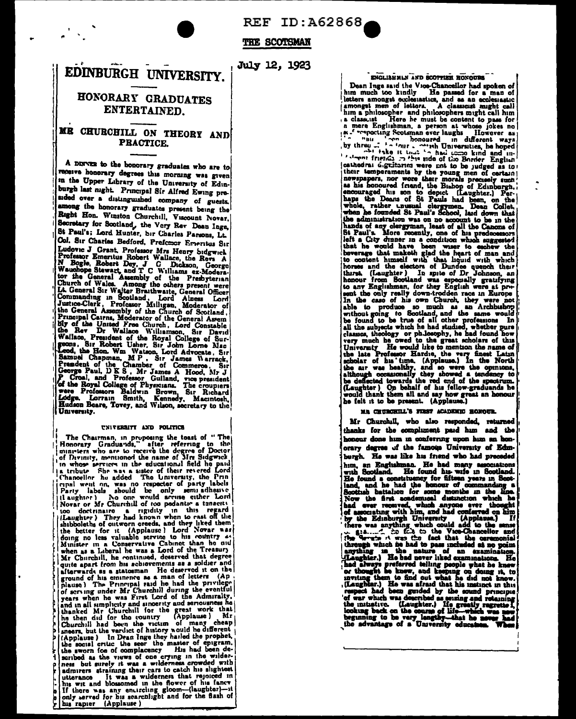**REF ID: A62868** 

THE SCOTSMAN

# EDINBURGH UNIVERSITY.

# HONORARY GRADUATES **ENTERTAINED.**

## ME CHURCHILL ON THEORY AND **PRACTICE**

A DINVER to the honorary graduates who are to receive honorary degrees this morning was given in the Upper Library of the University of Edinburgh last night. Principal Sir Alfred Ewing presided over a distinguished company of guests. among the honorary graduates present being the Right Hon. Winston Churchill, Viscount Novar. Secretary for Scotland, the Very Rev Dean Inge, St Paul's; Lord Hunter, Sir Charles Parsons, Lt. Col. Sir Charles Bedford, Prefencer Emeritus Sir Col. Sir Charles Bedford, Prefettor Emeritus Sir Ludovic J Grant, Professor Mrs Henry Sidgwick No Boghe, Nobert Wallace, the Revs A Nagle, Nobert Walles, J. G. Dickson, George Wauchope Stewart, and T C Williams ex-Moderati state contract and the Church of Scotland, Inc. and Assembly of the Church of Scotland, Principal Cairns, Moderator of the Ceneral Assemble the Bay of the University of the Church Constable (Wallace, President of the Royal University.

#### UNIVERSITY AND POLITICS

The Charman, in proposing the tosit of "The Honorary Graduards," after referring to the ministers who are to receive the degree of Doctor of Durinty, mentuoned the name of Mrs Sidgwisk and the model in the Finance of Mrs S enal went on, was no respecter of party labels Party labels should be only semi-athenve (laughter) No one would accuse either Lord Novar or Mr Churchill of too pedantie a tangetti Novar or Mr Churchill of too pedanter a teneettal<br>too dectrinare a regular in this regard |<br>(thaughter) They had known when to cast off the<br>shibboleths of outworn creeds, and they liked them<br>the better for it (Applause) Lo afterwards as a statesman He deserved it on the sucreated as a statement of the exercise it on the ground of his enumeroe as a man of letter (Ap<br>plause) The Principal stad he had the privilege plause) The Principal stad he had the privilege<br>of serving under Mr Churchill years when he was First Lord of the Admiralty, and in all sumplicity and instruction and senousines he<br>hanked Mr Churchill for the great work that the then did for the country (Applause) Mr Churchill had been the victim of seribed as the views of one crying in the wilder-<br>ness but surely it was a wilderness crowded with<br>admirers straining their cars to catch his slightest unify their cars to catch his sightest<br>utterance it was a widerness that rejoiced in<br>his wit and blossomed in the flower of his fancy<br>If there was any entircing gloom-(laughter)--it<br>only served for his scarchlight and for

## ENGLISH MLN AND SCOTTISH HONOURS

Dean Inge said the Voo-Chancelor had spoken of<br>him much too kindly the passed for a man of<br>letters amongst occlesiastics, and as an ecclesiastic samongst men of letters. A classical might call<br>him a philosopher and philosophers might call him<br>a classical different might call him<br>a classical different might call him a class tast. Here he must be content to pass for a mere Englishman, a person at whose jokes no<br>  $\mu$ . The spectrug Scotsman ever laughs. However as  $\mu$  is a monomed in different ways<br>
by three  $\pi$ ,  $\mu$  is a local cont Cathodra is the state of the state of the sum of their candidation in their temperaments by the young men of certain (hear the more their morals precisely small as his honoursed from the Blahop of Edubargh, and the Blahop cathedral digritaries were not to be judged as to! Fin the case of his own Church, they were not<br>the case of his own Church, they were not<br>able to produce so much as an Archbishop<br>without going to Socialand, and the same would<br>be found to be true of all other professions.<br>

### **MR CRUBCHUL'S FIRST ACADEMIC HOMOUR.**

Mr Churchill, who also responded, returned thanks for the compliment paid him and the honour done him in conferring upon him an honorary degree of the famous University of Edmburgh. He was like his friend who had preceded

Formy degree of the statement of the statement of the statement of the statement of the found and preceded bing, an Englishman. He had many association of the found a construency for fitten years in Social and, and he had

July 12, 1923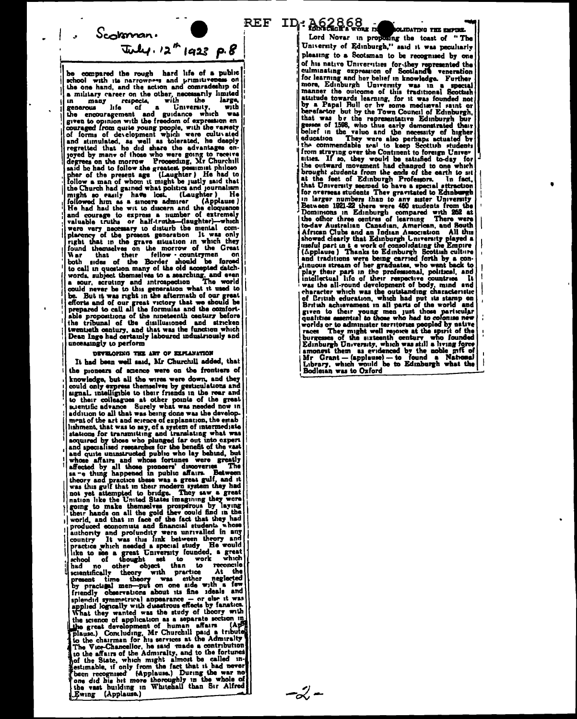$-\zeta'$  -

 $S<sub>co</sub> k$ man.  $\tau_{w}$ ly. 12" 1923 p.8

ъ. compared the rough hard life of a public school with its narrowness and primitiveness on the one hand, and the action and comradeship of a military career on the other, necessarily limited a military career on the other, necessarily limited<br>generous life of a University, with<br>generous life of a University, with<br>the encouragement and guidance which was<br>given to opinion with the freedom of expression en<br>courag on and stimulated, as well as tolerated, he deeply<br>regretted that he did share the advantages en-<br>joyed by many of those who were going to receive<br>degrees on the morrow Proceeding, Mr Churchill said he had to follow the greatest peasure this helow the present age (Laughter) He had to follow a man of whom it might be justly said that follow a man of whom it might be justly said that<br>the Church had gained what politics and journalism<br>might so easily have best. (Laughter ) He<br>followed hum as a sincere admirer (Applause)<br>He had had the wit to discern and words, subject themselves to a searching, and even<br>a nour, scrutiny and introspection The world a sour, scrutiny and introspection - sour, scrutiny and introspection The world<br>could never be to this generation what it used to<br>be. But it was right in the aftermath of our great<br>efforts and of our great victory that we should be<br>prepared to call all the able propositions of the nineteenth century before the tribunal of the disillusioned and stricken Dean Inge had certainly laboured industriously and unceasingly to perform

#### DEVELOPING THE ART OF EXPLANATION

It had been well said, Mr Churchill added, that the pioneers of science were on the frontiers of knowledge, but all the wires were down, and they could only express themselves by gesticulations and space income of the great strength of the great stems in colleagues at other points of the great stems in addition to all that was heng done was the development of the art and science of explanation, the estable ishment, that was to say, of a system of intermediate stations for transmitting and translating what was acquired by those who plunged far out into expert<br>and specialised researches for the benefit of the vast and specialised researches for the benefit of the vast<br>and specialised researches for the benefit of the vast<br>and quite uninstructed public who lay behind, but<br>affected by all those pioneers' discoveries. The<br>sa-e thing ha authority and profundity were unrivalled in any country It was this link between theory and practice which needed a special study He would practics which needed a special study He would<br>like to see a great University founded, a great<br>school of thought set to work which<br>had no other object than to reconcile<br>scientifically theory with practice At the<br>present ti by practice methods about its fine ideals and<br>splendid symmetrical appearance – or else it was<br>applied logically with dusatrous effects by fanatica.<br>What they wanted was the study of theory with<br>accretional methods of the What they wanted was the study of theory with<br>the science of application as a separate section in<br>the great development of human affairs (ApH<br>plause.) Concluding, Mr Churchill paid a tribute<br>the Wice-Chancellor, he said ma

REF ID: A62868 **CLIDATING THE EMPIRE.** Lord Novar in proposing the toast of "The University of Edinburgh," said it was peculiarly pleasing to a Sectsman to be recognised by one pusaring to a coordinate to recognized by one<br>equilibrating disperses for the presented the culminating expression of Scotland C veneration<br>for learning and hor belief in knowledge. Further<br>more, Edinburgh University was i by a rapal nut or ny some mediateral raint or<br>berefactor but by the Town Council of Edmburgh<br>that was by the representative Edinburgh bur<br>gessen of 1598, who thus early demonstrated their<br>belief in the value and the necess sities. If so, they would be satisfied to-day for<br>the outward movement had changed to one which brought students from the ends of the earth to sit at the feet of Edinburgh Professors. In fact, that University seemed to have a special attraction for overseas students They gravitated to Edinburgh in larger numbers than to any asser University<br>Between 1921-22 there were 460 students from the Dominions in Edinburgh compared with 262 at<br>the officer three centres of learning There were the other three centres of learning There were<br>to-day Australian Canadian, American, and South<br>African Clubs and an Indian American All thus<br>showed clearly that Edinburgh University played a<br>useful part in it a work of con tinuous stream of her graduates, who went back to play their part in the professional, political, and intellectual life of their respective countries mensetuan into the competence of the competence of the character which was the outstanding characteristic of Critish education, which had put its stamp on British achievement in all parts of the world and given to their young men just those particular qualities essential to those who had to colonise new worlds or to administer territories peopled by native races They might well reports at the spirit of the lines burgesses of the sixteenth century who founded Edinburgh University, which was still a living force amonest the